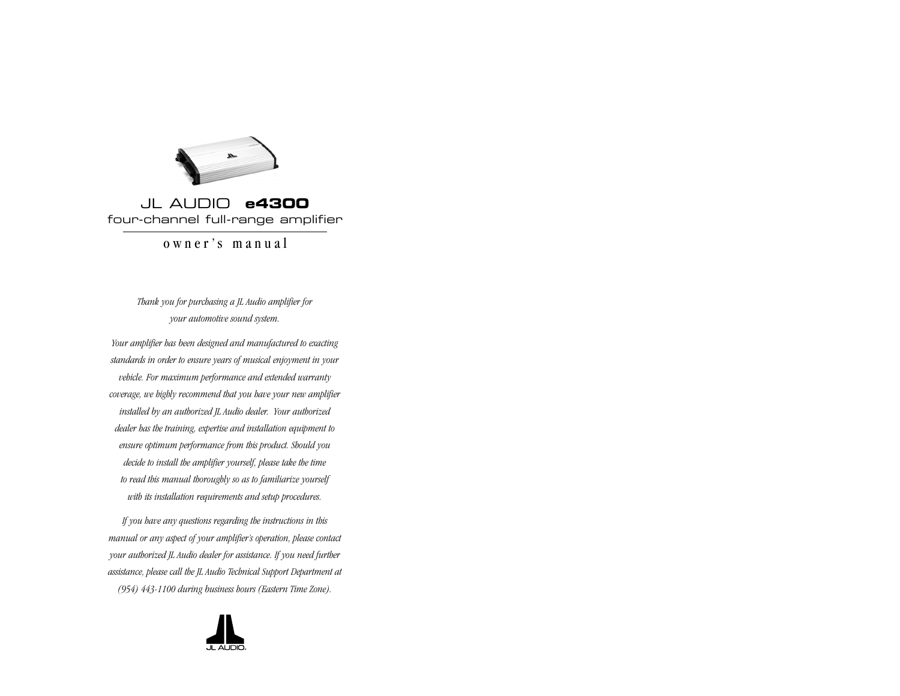

# JL AUDIO **e4300**  four-channel full-range amplifier

owner's manual

*Thank you for purchasing a JL Audio amplifier for your automotive sound system.* 

*Your amplifier has been designed and manufactured to exacting standards in order to ensure years of musical enjoyment in your vehicle. For maximum performance and extended warranty coverage, we highly recommend that you have your new amplifier installed by an authorized JL Audio dealer. Your authorized dealer has the training, expertise and installation equipment to ensure optimum performance from this product. Should you decide to install the amplifier yourself, please take the time to read this manual thoroughly so as to familiarize yourself with its installation requirements and setup procedures.*

*If you have any questions regarding the instructions in this manual or any aspect of your amplifier's operation, please contact your authorized JL Audio dealer for assistance. If you need further assistance, please call the JL Audio Technical Support Department at (954) 443-1100 during business hours (Eastern Time Zone).*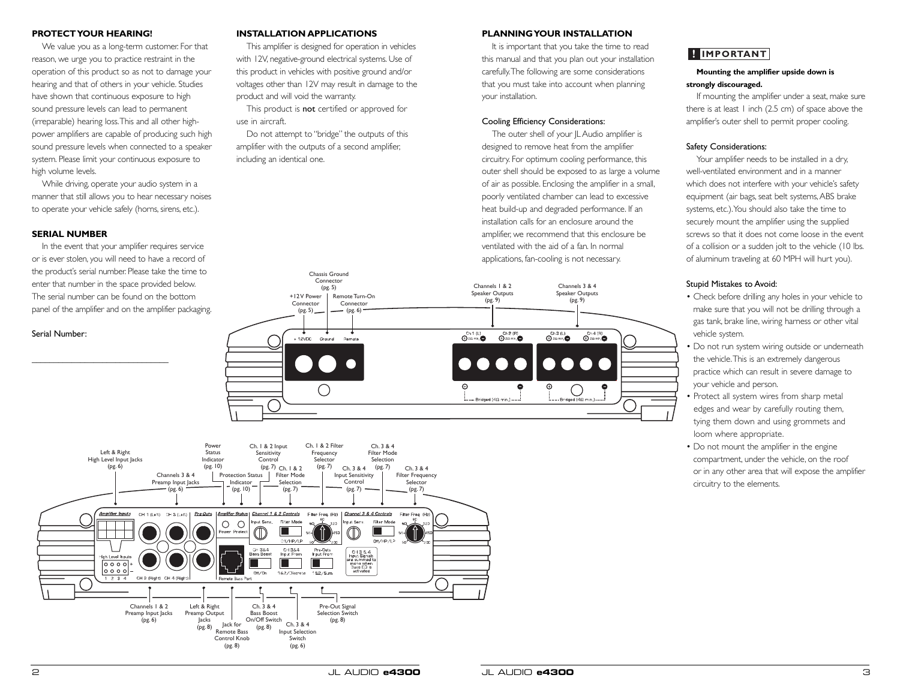**PROFECTIOUS HEARING:**<br>
This amplifier's designed for operation in vehicles<br>
This amplifier's designed for operation in vehicles<br>
This may be value you as a long-term customer. For that<br>
the product as out to damage to th

panel of the amplifier and on the amplifier packaging.

### Serial Number:

## **PLANNING YOUR INSTALLATION**

It is important that you take the time to read this manual and that you plan out your installation carefully.The following are some considerations that you must take into account when planning your installation.

### Cooling Efficiency Considerations:

The outer shell of your JL Audio amplifier is designed to remove heat from the amplifier circuitry. For optimum cooling performance, this outer shell should be exposed to as large a volume of air as possible. Enclosing the amplifier in a small, poorly ventilated chamber can lead to excessive heat build-up and degraded performance. If an installation calls for an enclosure around the amplifier, we recommend that this enclosure be ventilated with the aid of a fan. In normal applications, fan-cooling is not necessary.



## **HIMPORTANT**

## **Mounting the amplifier upside down is strongly discouraged.**

If mounting the amplifier under a seat, make sure there is at least  $\vert$  inch (2.5 cm) of space above the amplifier's outer shell to permit proper cooling.

## Safety Considerations:

Your amplifier needs to be installed in a dry, well-ventilated environment and in a manner which does not interfere with your vehicle's safety equipment (air bags, seat belt systems, ABS brake systems, etc.).You should also take the time to securely mount the amplifier using the supplied screws so that it does not come loose in the event of a collision or a sudden jolt to the vehicle (10 lbs. of aluminum traveling at 60 MPH will hurt you). IMPORTANT<br>
Mounting the amplifier<br>
rrongly discouraged.<br>
If mounting the amplifier<br>
ere is at least 1 inch (2.5<br>
splifier's outer shell to pe<br>
afety Considerations:<br>
Your amplifier needs to<br>
ell-ventilated environmen<br>
hich

### Stupid Mistakes to Avoid:

- Check before drilling any holes in your vehicle to make sure that you will not be drilling through a gas tank, brake line, wiring harness or other vital vehicle system.
- Do not run system wiring outside or underneath the vehicle.This is an extremely dangerous practice which can result in severe damage to your vehicle and person.
- Protect all system wires from sharp metal edges and wear by carefully routing them, tying them down and using grommets and loom where appropriate.
- Do not mount the amplifier in the engine compartment, under the vehicle, on the roof or in any other area that will expose the amplifier circuitry to the elements.

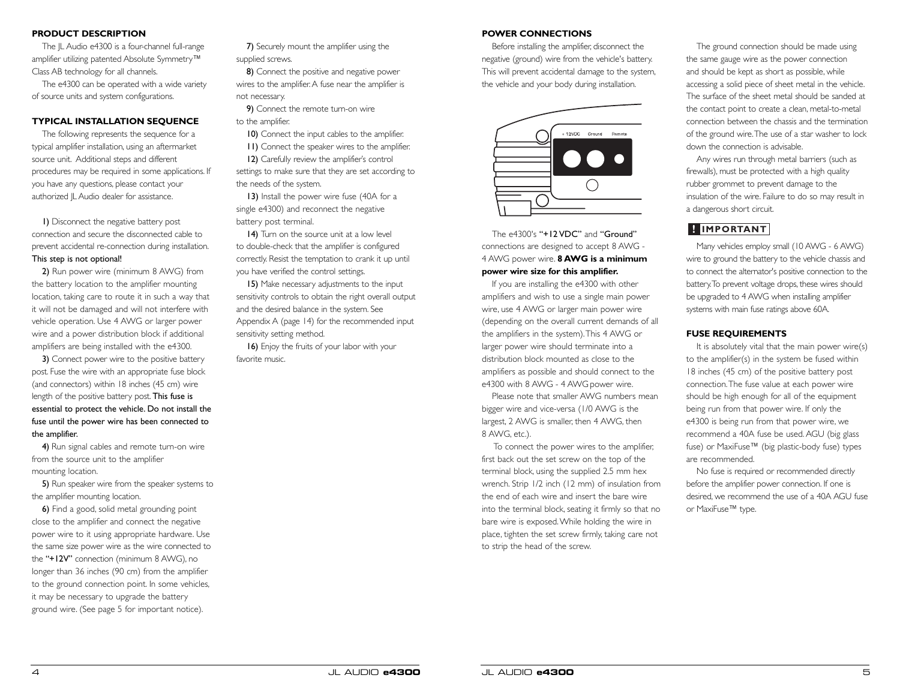## **PRODUCT DESCRIPTION**

The JL Audio e4300 is a four-channel full-range amplifier utilizing patented Absolute Symmetry™ Class AB technology for all channels.

The e4300 can be operated with a wide variety of source units and system configurations.

## **TYPICAL INSTALLATION SEQUENCE**

The following represents the sequence for a typical amplifier installation, using an aftermarket source unit. Additional steps and different procedures may be required in some applications. If you have any questions, please contact your authorized JL Audio dealer for assistance.

1) Disconnect the negative battery post connection and secure the disconnected cable to prevent accidental re-connection during installation. This step is not optional!

2) Run power wire (minimum 8 AWG) from the battery location to the amplifier mounting location, taking care to route it in such a way that it will not be damaged and will not interfere with vehicle operation. Use 4 AWG or larger power wire and a power distribution block if additional amplifiers are being installed with the e4300.

3) Connect power wire to the positive battery post. Fuse the wire with an appropriate fuse block (and connectors) within 18 inches (45 cm) wire length of the positive battery post. This fuse is essential to protect the vehicle. Do not install the fuse until the power wire has been connected to the amplifier.

4) Run signal cables and remote turn-on wire from the source unit to the amplifier mounting location.

5) Run speaker wire from the speaker systems to the amplifier mounting location.

6) Find a good, solid metal grounding point close to the amplifier and connect the negative power wire to it using appropriate hardware. Use the same size power wire as the wire connected to the "+12V" connection (minimum 8 AWG), no longer than 36 inches (90 cm) from the amplifier to the ground connection point. In some vehicles, it may be necessary to upgrade the battery ground wire. (See page 5 for important notice).

7) Securely mount the amplifier using the supplied screws.

8) Connect the positive and negative power wires to the amplifier. A fuse near the amplifier is not necessary.

9) Connect the remote turn-on wire to the amplifier.

10) Connect the input cables to the amplifier. 11) Connect the speaker wires to the amplifier. 12) Carefully review the amplifier's control settings to make sure that they are set according to

the needs of the system. 13) Install the power wire fuse (40A for a single e4300) and reconnect the negative

battery post terminal.

14) Turn on the source unit at a low level to double-check that the amplifier is configured correctly. Resist the temptation to crank it up until you have verified the control settings.

15) Make necessary adjustments to the input sensitivity controls to obtain the right overall output and the desired balance in the system. See Appendix A (page 14) for the recommended input sensitivity setting method.

16) Enjoy the fruits of your labor with your favorite music.

## **POWER CONNECTIONS**

Before installing the amplifier, disconnect the negative (ground) wire from the vehicle's battery. This will prevent accidental damage to the system, the vehicle and your body during installation.



The e4300's "+12 VDC" and "Ground" connections are designed to accept 8 AWG - 4 AWG power wire. **8 AWG is a minimum power wire size for this amplifier.**

If you are installing the e4300 with other amplifiers and wish to use a single main power wire, use 4 AWG or larger main power wire (depending on the overall current demands of all the amplifiers in the system).This 4 AWG or larger power wire should terminate into a distribution block mounted as close to the amplifiers as possible and should connect to the e4300 with 8 AWG - 4 AWG power wire.

Please note that smaller AWG numbers mean bigger wire and vice-versa (1/0 AWG is the largest, 2 AWG is smaller, then 4 AWG, then 8 AWG, etc.).

To connect the power wires to the amplifier, first back out the set screw on the top of the terminal block, using the supplied 2.5 mm hex wrench. Strip 1/2 inch (12 mm) of insulation from the end of each wire and insert the bare wire into the terminal block, seating it firmly so that no bare wire is exposed.While holding the wire in place, tighten the set screw firmly, taking care not to strip the head of the screw.

The ground connection should be made using the same gauge wire as the power connection and should be kept as short as possible, while accessing a solid piece of sheet metal in the vehicle. The surface of the sheet metal should be sanded at the contact point to create a clean, metal-to-metal connection between the chassis and the termination of the ground wire.The use of a star washer to lock down the connection is advisable.

Any wires run through metal barriers (such as firewalls), must be protected with a high quality rubber grommet to prevent damage to the insulation of the wire. Failure to do so may result in a dangerous short circuit.

Many vehicles employ small (10 AWG - 6 AWG) wire to ground the battery to the vehicle chassis and to connect the alternator's positive connection to the battery.To prevent voltage drops, these wires should be upgraded to 4 AWG when installing amplifier systems with main fuse ratings above 60A.

## **FUSE REQUIREMENTS**

It is absolutely vital that the main power wire(s) to the amplifier(s) in the system be fused within 18 inches (45 cm) of the positive battery post connection.The fuse value at each power wire should be high enough for all of the equipment being run from that power wire. If only the e4300 is being run from that power wire, we recommend a 40A fuse be used. AGU (big glass fuse) or MaxiFuse™ (big plastic-body fuse) types are recommended. **IMPORTANT**<br>Many vehicles emplot<br>wire to ground the batt<br>to connect the alternate<br>battery. To prevent volta<br>be upgraded to 4 AWC<br>systems with main fuse<br>**FUSE REQUIREME**<br>It is absolutely vital<br>to the amplifier(s) in 18 inc

No fuse is required or recommended directly before the amplifier power connection. If one is desired, we recommend the use of a 40A AGU fuse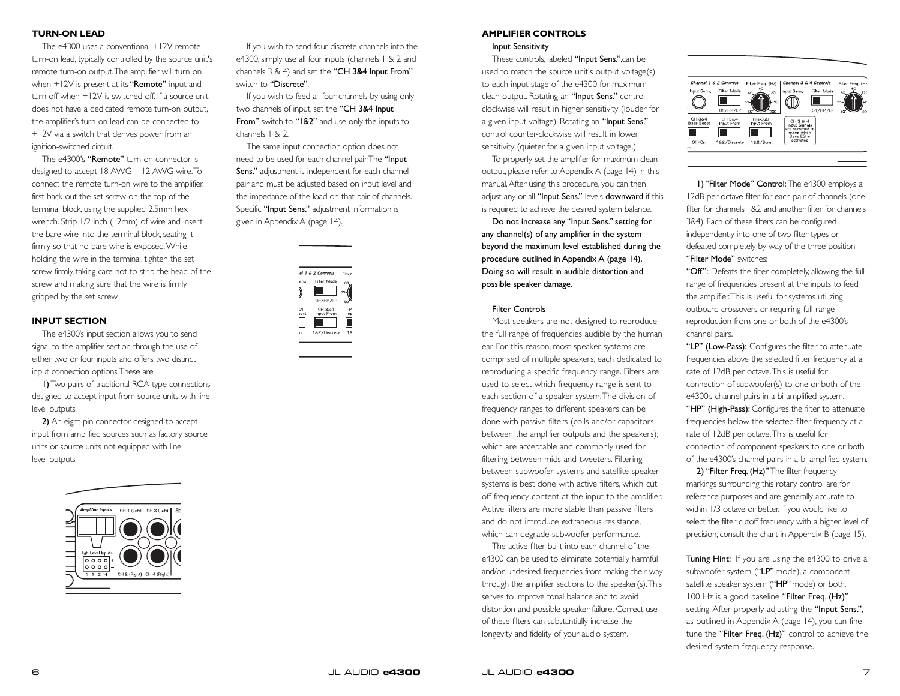## **TURN-ON LEAD**

The e4300 uses a conventional +12V remote turn-on lead, typically controlled by the source unit's remote turn-on output.The amplifier will turn on when  $+12V$  is present at its "Remote" input and turn off when +12V is switched off. If a source unit does not have a dedicated remote turn-on output, the amplifier's turn-on lead can be connected to +12V via a switch that derives power from an ignition-switched circuit.

The e4300's "Remote" turn-on connector is designed to accept 18 AWG – 12 AWG wire.To connect the remote turn-on wire to the amplifier, first back out the set screw on the top of the terminal block, using the supplied 2.5mm hex wrench. Strip 1/2 inch (12mm) of wire and insert the bare wire into the terminal block, seating it firmly so that no bare wire is exposed.While holding the wire in the terminal, tighten the set screw firmly, taking care not to strip the head of the screw and making sure that the wire is firmly gripped by the set screw.

## **INPUT SECTION**

The e4300's input section allows you to send signal to the amplifier section through the use of either two or four inputs and offers two distinct input connection options.These are:

1)Two pairs of traditional RCA type connections designed to accept input from source units with line level outputs.

2) An eight-pin connector designed to accept input from amplified sources such as factory source units or source units not equipped with line level outputs.



If you wish to send four discrete channels into the e4300, simply use all four inputs (channels 1 & 2 and channels 3 & 4) and set the "CH 3&4 Input From" switch to "Discrete".

If you wish to feed all four channels by using only two channels of input, set the "CH 3&4 Input From" switch to "1&2" and use only the inputs to channels 1 & 2.

The same input connection option does not need to be used for each channel pair.The "Input Sens." adjustment is independent for each channel pair and must be adjusted based on input level and the impedance of the load on that pair of channels. Specific "Input Sens." adjustment information is given in Appendix A (page 14).



#### **AMPLIFIER CONTROLS**

#### Input Sensitivity

These controls, labeled "Input Sens.",can be used to match the source unit's output voltage(s) to each input stage of the e4300 for maximum clean output. Rotating an "Input Sens." control clockwise will result in higher sensitivity (louder for a given input voltage). Rotating an "Input Sens." control counter-clockwise will result in lower sensitivity (quieter for a given input voltage.)

To properly set the amplifier for maximum clean output, please refer to Appendix A (page 14) in this manual.After using this procedure, you can then adjust any or all "Input Sens." levels downward if this is required to achieve the desired system balance.

Do not increase any "Input Sens." setting for any channel(s) of any amplifier in the system beyond the maximum level established during the procedure outlined in Appendix A (page 14). Doing so will result in audible distortion and possible speaker damage.

## Filter Controls

Most speakers are not designed to reproduce the full range of frequencies audible by the human ear. For this reason, most speaker systems are comprised of multiple speakers, each dedicated to reproducing a specific frequency range. Filters are used to select which frequency range is sent to each section of a speaker system.The division of frequency ranges to different speakers can be done with passive filters (coils and/or capacitors between the amplifier outputs and the speakers), which are acceptable and commonly used for filtering between mids and tweeters. Filtering between subwoofer systems and satellite speaker systems is best done with active filters, which cut off frequency content at the input to the amplifier. Active filters are more stable than passive filters and do not introduce extraneous resistance, which can degrade subwoofer performance.

The active filter built into each channel of the e4300 can be used to eliminate potentially harmful and/or undesired frequencies from making their way through the amplifier sections to the speaker(s).This serves to improve tonal balance and to avoid distortion and possible speaker failure. Correct use of these filters can substantially increase the longevity and fidelity of your audio system.

|                      | Channel 1 & 2 Controls | Filter Freq. (Hz)                   | Channel 3 & 4 Controls                    |             | Filter Freq. (Hz |
|----------------------|------------------------|-------------------------------------|-------------------------------------------|-------------|------------------|
| Input Sens.          | Filter Mode            | 80<br>120<br>6C                     | Input Sens.                               | Filter Mode | 80<br>120<br>60  |
|                      | Off/HP/LP              | $\mu_{\rm ISO}$<br>55-<br>50<br>2CC |                                           | Off/HP/LP   |                  |
| CH 384<br>Bass Boost | CH 384<br>Input From   | Pre-Outs<br>Input From              | CH364<br>Input Signals                    |             |                  |
|                      |                        |                                     | lare summed to<br>mono when<br>Bass EQ is |             |                  |
| Off/On               | 1&2/Discrete           | 182/Sum                             | activated                                 |             |                  |
| L£                   |                        |                                     |                                           |             |                  |

1) "Filter Mode" Control: The e4300 employs a 12dB per octave filter for each pair of channels (one filter for channels 1&2 and another filter for channels 3&4). Each of these filters can be configured independently into one of two filter types or defeated completely by way of the three-position "Filter Mode" switches:

"Off": Defeats the filter completely, allowing the full range of frequencies present at the inputs to feed the amplifier.This is useful for systems utilizing outboard crossovers or requiring full-range reproduction from one or both of the e4300's channel pairs.

"LP" (Low-Pass): Configures the filter to attenuate frequencies above the selected filter frequency at a rate of 12dB per octave.This is useful for connection of subwoofer(s) to one or both of the e4300's channel pairs in a bi-amplified system. "HP" (High-Pass): Configures the filter to attenuate frequencies below the selected filter frequency at a rate of 12dB per octave.This is useful for connection of component speakers to one or both of the e4300's channel pairs in a bi-amplified system.

2) "Filter Freq. (Hz)" The filter frequency markings surrounding this rotary control are for reference purposes and are generally accurate to within 1/3 octave or better. If you would like to select the filter cutoff frequency with a higher level of precision, consult the chart in Appendix B (page 15).

Tuning Hint: If you are using the e4300 to drive a subwoofer system ("LP" mode), a component satellite speaker system ("HP" mode) or both, 100 Hz is a good baseline "Filter Freq. (Hz)" setting. After properly adjusting the "Input Sens.", as outlined in Appendix A (page 14), you can fine tune the "Filter Freq. (Hz)" control to achieve the desired system frequency response.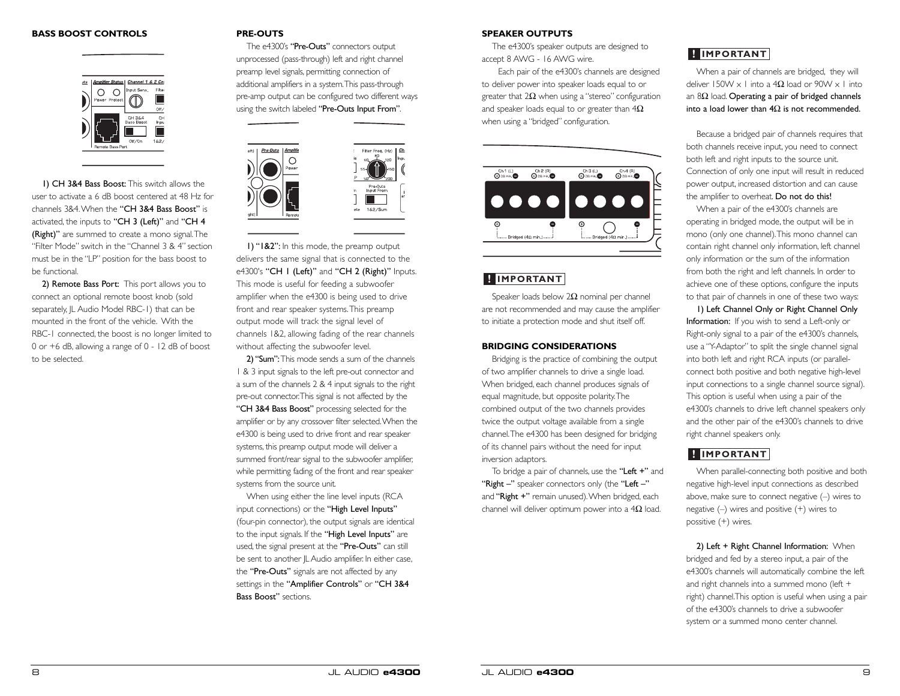### **BASS BOOST CONTROLS**



1) CH 3&4 Bass Boost: This switch allows the user to activate a 6 dB boost centered at 48 Hz for channels 3&4.When the "CH 3&4 Bass Boost" is activated, the inputs to "CH 3 (Left)" and "CH 4 (Right)" are summed to create a mono signal.The "Filter Mode" switch in the "Channel 3 & 4" section must be in the "LP" position for the bass boost to be functional.

2) Remote Bass Port: This port allows you to connect an optional remote boost knob (sold separately, JL Audio Model RBC-1) that can be mounted in the front of the vehicle. With the RBC-1 connected, the boost is no longer limited to 0 or +6 dB, allowing a range of 0 - 12 dB of boost to be selected.

### **PRE-OUTS**

The e4300's "Pre-Outs" connectors output unprocessed (pass-through) left and right channel preamp level signals, permitting connection of additional amplifiers in a system.This pass-through pre-amp output can be configured two different ways using the switch labeled "Pre-Outs Input From".



1) "1&2": In this mode, the preamp output delivers the same signal that is connected to the e4300's "CH I (Left)" and "CH 2 (Right)" Inputs. This mode is useful for feeding a subwoofer amplifier when the e4300 is being used to drive front and rear speaker systems.This preamp output mode will track the signal level of channels 1&2, allowing fading of the rear channels without affecting the subwoofer level.

2) "Sum":This mode sends a sum of the channels 1 & 3 input signals to the left pre-out connector and a sum of the channels 2 & 4 input signals to the right pre-out connector.This signal is not affected by the "CH 3&4 Bass Boost" processing selected for the amplifier or by any crossover filter selected.When the e4300 is being used to drive front and rear speaker systems, this preamp output mode will deliver a summed front/rear signal to the subwoofer amplifier, while permitting fading of the front and rear speaker systems from the source unit.

When using either the line level inputs (RCA input connections) or the "High Level Inputs" (four-pin connector), the output signals are identical to the input signals. If the "High Level Inputs" are used, the signal present at the "Pre-Outs" can still be sent to another IL Audio amplifier. In either case, the "Pre-Outs" signals are not affected by any settings in the "Amplifier Controls" or "CH 3&4 Bass Boost" sections.

## **SPEAKER OUTPUTS**

The e4300's speaker outputs are designed to accept 8 AWG - 16 AWG wire.

Each pair of the e4300's channels are designed to deliver power into speaker loads equal to or greater that  $2\Omega$  when using a "stereo" configuration and speaker loads equal to or greater than  $4\Omega$ when using a "bridged" configuration.



Speaker loads below  $2Ω$  nominal per channel are not recommended and may cause the amplifier to initiate a protection mode and shut itself off.

### **BRIDGING CONSIDERATIONS**

Bridging is the practice of combining the output of two amplifier channels to drive a single load. When bridged, each channel produces signals of equal magnitude, but opposite polarity.The combined output of the two channels provides twice the output voltage available from a single channel.The e4300 has been designed for bridging of its channel pairs without the need for input inversion adaptors. **E IMPORTANT**<br>
Speaker loads below 2Ω nominal per channel<br>
are not recommended and may cause the amplifier<br>
to initiate a protection mode and shut itself off.<br> **BRIDGING CONSIDERATIONS**<br>
Bridging is the practice of combi

To bridge a pair of channels, use the "Left +" and "Right -" speaker connectors only (the "Left -" and "Right +" remain unused). When bridged, each

When a pair of channels are bridged, they will deliver 150W  $\times$  1 into a 4 $\Omega$  load or 90W  $\times$  1 into an 8Ω load. Operating a pair of bridged channels into a load lower than  $4\Omega$  is not recommended.

Because a bridged pair of channels requires that both channels receive input, you need to connect both left and right inputs to the source unit. Connection of only one input will result in reduced power output, increased distortion and can cause the amplifier to overheat. Do not do this!

When a pair of the e4300's channels are operating in bridged mode, the output will be in mono (only one channel).This mono channel can contain right channel only information, left channel only information or the sum of the information from both the right and left channels. In order to achieve one of these options, configure the inputs to that pair of channels in one of these two ways:

1) Left Channel Only or Right Channel Only Information: If you wish to send a Left-only or Right-only signal to a pair of the e4300's channels, use a "Y-Adaptor" to split the single channel signal into both left and right RCA inputs (or parallelconnect both positive and both negative high-level input connections to a single channel source signal). This option is useful when using a pair of the e4300's channels to drive left channel speakers only and the other pair of the e4300's channels to drive right channel speakers only. **Example 16 The Constrant Constrant Constrant (Solvid Tar 1500V x 1 into a 4Ω load or 90W v<br>an a 8Ω load. <b>Operating a pair of bridged ch** and a 20 load Or 90W v into a **load lower than 4**Ω is **not recomm**<br>Because a bridge

When parallel-connecting both positive and both negative high-level input connections as described above, make sure to connect negative (–) wires to negative (–) wires and positive (+) wires to possitive (+) wires.

2) Left + Right Channel Information: When bridged and fed by a stereo input, a pair of the e4300's channels will automatically combine the left and right channels into a summed mono (left + right) channel.This option is useful when using a pair of the e4300's channels to drive a subwoofer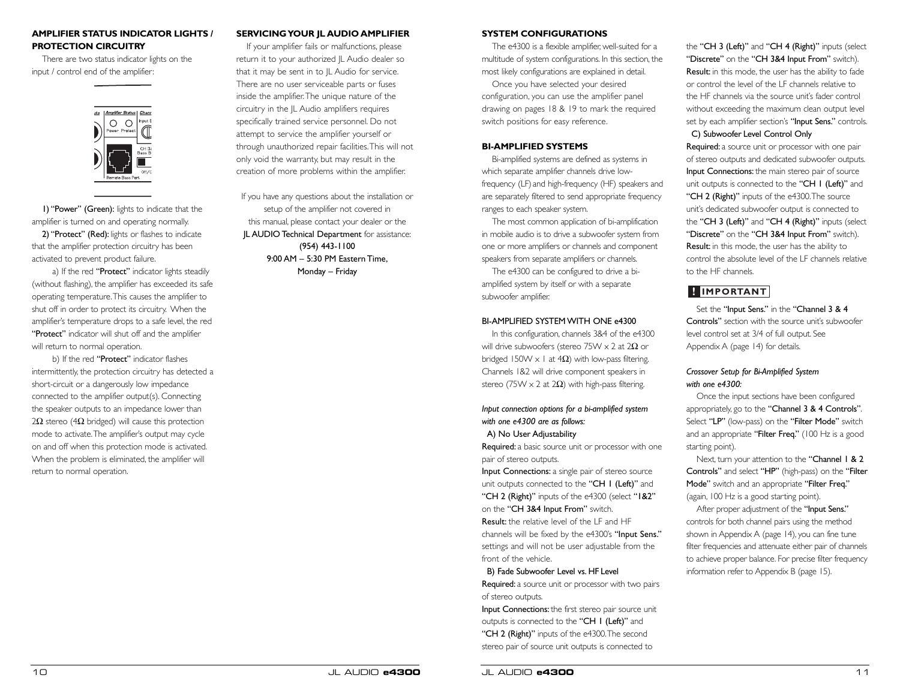## **AMPLIFIER STATUS INDICATOR LIGHTS / PROTECTION CIRCUITRY**

There are two status indicator lights on the input / control end of the amplifier:



1) "Power" (Green): lights to indicate that the amplifier is turned on and operating normally.

2) "Protect" (Red): lights or flashes to indicate that the amplifier protection circuitry has been activated to prevent product failure.

a) If the red "Protect" indicator lights steadily (without flashing), the amplifier has exceeded its safe operating temperature.This causes the amplifier to shut off in order to protect its circuitry. When the amplifier's temperature drops to a safe level, the red "Protect" indicator will shut off and the amplifier will return to normal operation.

b) If the red "Protect" indicator flashes intermittently, the protection circuitry has detected a short-circuit or a dangerously low impedance connected to the amplifier output(s). Connecting the speaker outputs to an impedance lower than 2Ω stereo (4Ω bridged) will cause this protection mode to activate.The amplifier's output may cycle on and off when this protection mode is activated. When the problem is eliminated, the amplifier will return to normal operation.

## **SERVICING YOUR JL AUDIO AMPLIFIER**

If your amplifier fails or malfunctions, please return it to your authorized JL Audio dealer so that it may be sent in to JL Audio for service. There are no user serviceable parts or fuses inside the amplifier.The unique nature of the circuitry in the JL Audio amplifiers requires specifically trained service personnel. Do not attempt to service the amplifier yourself or through unauthorized repair facilities.This will not only void the warranty, but may result in the creation of more problems within the amplifier.

If you have any questions about the installation or setup of the amplifier not covered in this manual, please contact your dealer or the JL AUDIO Technical Department for assistance: (954) 443-1100 9:00 AM – 5:30 PM Eastern Time, Monday – Friday

## **SYSTEM CONFIGURATIONS**

The e4300 is a flexible amplifier, well-suited for a multitude of system configurations. In this section, the most likely configurations are explained in detail.

Once you have selected your desired configuration, you can use the amplifier panel drawing on pages 18 & 19 to mark the required switch positions for easy reference.

## **BI-AMPLIFIED SYSTEMS**

Bi-amplified systems are defined as systems in which separate amplifier channels drive lowfrequency (LF)and high-frequency (HF) speakers and are separately filtered to send appropriate frequency ranges to each speaker system.

The most common application of bi-amplification in mobile audio is to drive a subwoofer system from one or more amplifiers or channels and component speakers from separate amplifiers or channels.

The e4300 can be configured to drive a biamplified system by itself or with a separate subwoofer amplifier.

## BI-AMPLIFIED SYSTEM WITH ONE e4300

In this configuration, channels 3&4 of the e4300 will drive subwoofers (stereo 75W x 2 at 2Ω or bridged 150W  $\times$  1 at 4 $\Omega$ ) with low-pass filtering. Channels 1&2 will drive component speakers in stereo (75W  $\times$  2 at 2Ω) with high-pass filtering.

## *Input connection options for a bi-amplified system with one e4300 are as follows:*

A) No User Adjustability

Required: a basic source unit or processor with one pair of stereo outputs.

Input Connections: a single pair of stereo source unit outputs connected to the "CH 1 (Left)" and "CH 2 (Right)" inputs of the e4300 (select "1&2" on the "CH 3&4 Input From" switch. Result: the relative level of the LF and HF channels will be fixed by the e4300's "Input Sens." settings and will not be user adjustable from the front of the vehicle.

## B) Fade Subwoofer Level vs. HF Level

Required: a source unit or processor with two pairs of stereo outputs.

Input Connections: the first stereo pair source unit outputs is connected to the "CH 1 (Left)" and "CH 2 (Right)" inputs of the e4300. The second stereo pair of source unit outputs is connected to

the "CH 3 (Left)" and "CH 4 (Right)" inputs (select "Discrete" on the "CH 3&4 Input From" switch). Result: in this mode, the user has the ability to fade or control the level of the LF channels relative to the HF channels via the source unit's fader control without exceeding the maximum clean output level set by each amplifier section's "Input Sens." controls.

C) Subwoofer Level Control Only

Required: a source unit or processor with one pair of stereo outputs and dedicated subwoofer outputs. Input Connections: the main stereo pair of source unit outputs is connected to the "CH I (Left)" and "CH 2 (Right)" inputs of the e4300. The source unit's dedicated subwoofer output is connected to the "CH 3 (Left)" and "CH 4 (Right)" inputs (select "Discrete" on the "CH 3&4 Input From" switch). Result: in this mode, the user has the ability to control the absolute level of the LF channels relative to the HF channels.

Set the "Input Sens." in the "Channel 3 & 4 Controls" section with the source unit's subwoofer level control set at 3/4 of full output. See Appendix A (page 14) for details.

## *Crossover Setup for Bi-Amplified System with one e4300:*

Once the input sections have been configured appropriately, go to the "Channel  $3 & 4$  Controls". Select "LP" (low-pass) on the "Filter Mode" switch and an appropriate "Filter Freq." (100 Hz is a good starting point).

Next, turn your attention to the "Channel 1 & 2 Controls" and select "HP" (high-pass) on the "Filter Mode" switch and an appropriate "Filter Freq." (again, 100 Hz is a good starting point).

After proper adjustment of the "Input Sens." controls for both channel pairs using the method shown in Appendix A (page 14), you can fine tune filter frequencies and attenuate either pair of channels to achieve proper balance. For precise filter frequency **IMPORTANT**<br>
Set the "Input Sens." in the "Channel 3<br>
Controls" section with the source unit's st<br>
level control set at 3/4 of full output. See<br>
Appendix A (page 14) for details.<br>
Crossover Setup for Bi-Amplified System<br>
w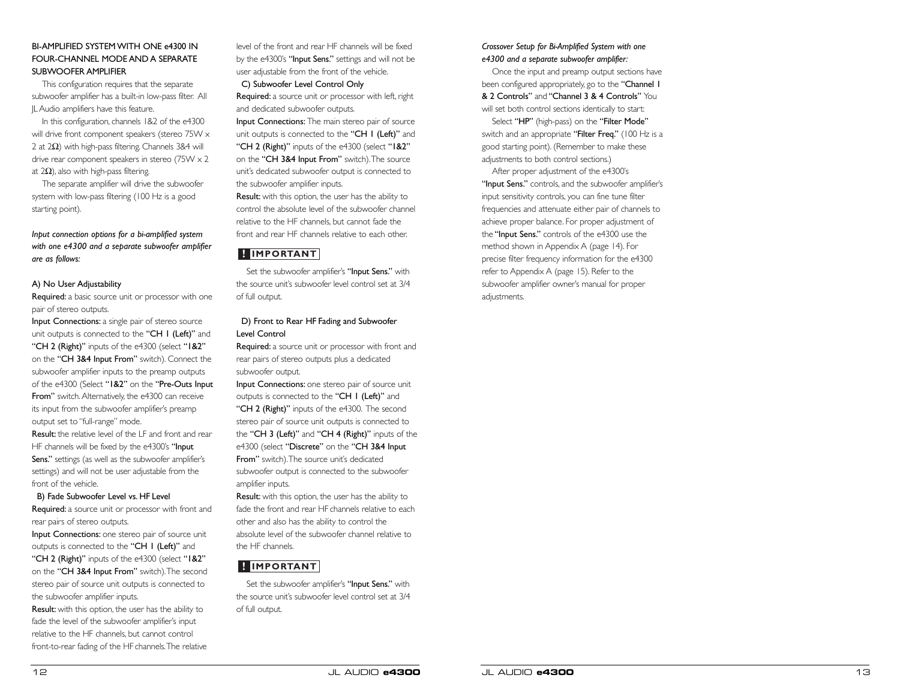## BI-AMPLIFIED SYSTEM WITH ONE e4300 IN FOUR-CHANNEL MODE AND A SEPARATE SUBWOOFER AMPLIFIER

This configuration requires that the separate subwoofer amplifier has a built-in low-pass filter. All JLAudio amplifiers have this feature.

In this configuration, channels 1&2 of the e4300 will drive front component speakers (stereo 75W  $\times$ 2 at 2 $\Omega$ ) with high-pass filtering. Channels 3&4 will drive rear component speakers in stereo (75W x 2 at 2 $\Omega$ ), also with high-pass filtering.

The separate amplifier will drive the subwoofer system with low-pass filtering (100 Hz is a good starting point).

*Input connection options for a bi-amplified system with one e4300 and a separate subwoofer amplifier are as follows:*

#### A) No User Adjustability

Required: a basic source unit or processor with one pair of stereo outputs.

Input Connections: a single pair of stereo source unit outputs is connected to the "CH I (Left)" and "CH 2 (Right)" inputs of the e4300 (select "1&2" on the "CH 3&4 Input From" switch). Connect the subwoofer amplifier inputs to the preamp outputs of the e4300 (Select "1&2" on the "Pre-Outs Input From" switch. Alternatively, the e4300 can receive its input from the subwoofer amplifier's preamp output set to "full-range" mode.

Result: the relative level of the LF and front and rear HF channels will be fixed by the e4300's "Input Sens." settings (as well as the subwoofer amplifier's settings) and will not be user adjustable from the front of the vehicle.

B) Fade Subwoofer Level vs. HF Level

Required: a source unit or processor with front and rear pairs of stereo outputs.

Input Connections: one stereo pair of source unit outputs is connected to the "CH 1 (Left)" and "CH 2 (Right)" inputs of the e4300 (select "1&2" on the "CH 3&4 Input From" switch).The second stereo pair of source unit outputs is connected to the subwoofer amplifier inputs.

Result: with this option, the user has the ability to fade the level of the subwoofer amplifier's input relative to the HF channels, but cannot control front-to-rear fading of the HF channels.The relative

level of the front and rear HF channels will be fixed by the e4300's "Input Sens." settings and will not be user adjustable from the front of the vehicle.

## C) Subwoofer Level Control Only

Required: a source unit or processor with left, right and dedicated subwoofer outputs.

Input Connections: The main stereo pair of source unit outputs is connected to the "CH I (Left)" and "CH 2 (Right)" inputs of the e4300 (select "1&2" on the "CH 3&4 Input From" switch).The source unit's dedicated subwoofer output is connected to the subwoofer amplifier inputs.

Result: with this option, the user has the ability to control the absolute level of the subwoofer channel relative to the HF channels, but cannot fade the front and rear HF channels relative to each other.

## **! IMPORTANT**

Set the subwoofer amplifier's "Input Sens." with the source unit's subwoofer level control set at 3/4 of full output.

## D) Front to Rear HF Fading and Subwoofer Level Control

Required: a source unit or processor with front and rear pairs of stereo outputs plus a dedicated subwoofer output.

Input Connections: one stereo pair of source unit outputs is connected to the "CH 1 (Left)" and "CH 2 (Right)" inputs of the e4300. The second stereo pair of source unit outputs is connected to the "CH 3 (Left)" and "CH 4 (Right)" inputs of the e4300 (select "Discrete" on the "CH 3&4 Input From" switch).The source unit's dedicated subwoofer output is connected to the subwoofer amplifier inputs.

Result: with this option, the user has the ability to fade the front and rear HF channels relative to each other and also has the ability to control the absolute level of the subwoofer channel relative to the HF channels.

## **! IMPORTANT**

Set the subwoofer amplifier's "Input Sens." with the source unit's subwoofer level control set at 3/4 of full output.

## *Crossover Setup for Bi-Amplified System with one e4300 and a separate subwoofer amplifier:*

Once the input and preamp output sections have been configured appropriately, go to the "Channel I & 2 Controls" and "Channel 3 & 4 Controls" You will set both control sections identically to start:

Select "HP" (high-pass) on the "Filter Mode" switch and an appropriate "Filter Freq." (100 Hz is a good starting point). (Remember to make these adjustments to both control sections.)

After proper adjustment of the e4300's "Input Sens." controls, and the subwoofer amplifier's input sensitivity controls, you can fine tune filter frequencies and attenuate either pair of channels to achieve proper balance. For proper adjustment of the "Input Sens." controls of the e4300 use the method shown in Appendix A (page 14). For precise filter frequency information for the e4300 refer to Appendix A (page 15). Refer to the subwoofer amplifier owner's manual for proper adjustments.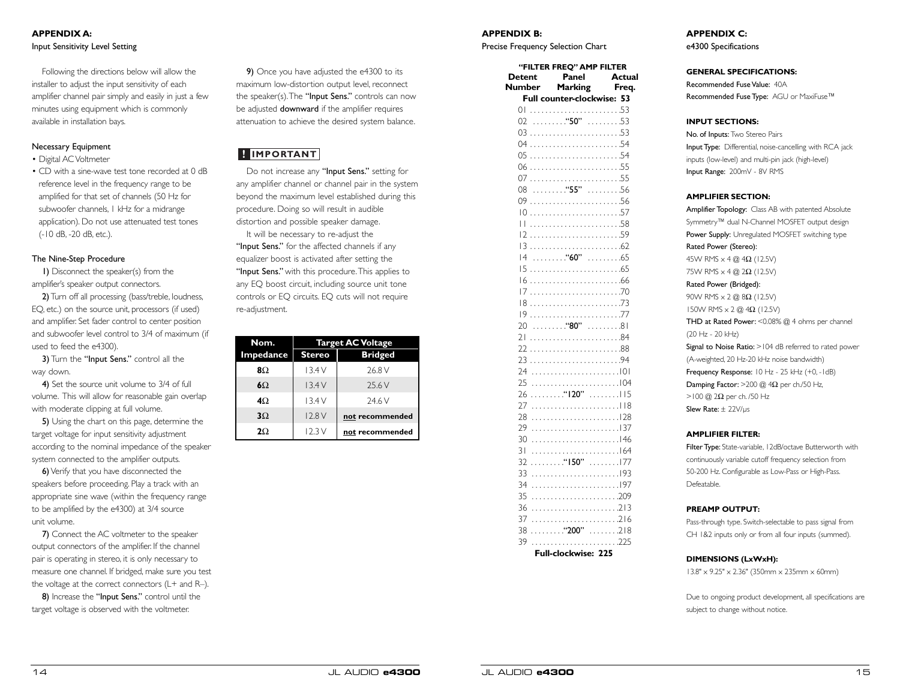## **APPENDIX A:** Input Sensitivity Level Setting

Following the directions below will allow the installer to adjust the input sensitivity of each amplifier channel pair simply and easily in just a few minutes using equipment which is commonly available in installation bays.

## Necessary Equipment

- Digital AC Voltmeter
- CD with a sine-wave test tone recorded at 0 dB reference level in the frequency range to be amplified for that set of channels (50 Hz for subwoofer channels, 1 kHz for a midrange application). Do not use attenuated test tones (-10 dB, -20 dB, etc.).

## The Nine-Step Procedure

1) Disconnect the speaker(s) from the amplifier's speaker output connectors.

2) Turn off all processing (bass/treble, loudness, EQ, etc.) on the source unit, processors (if used) and amplifier. Set fader control to center position and subwoofer level control to 3/4 of maximum (if used to feed the e4300).

3) Turn the "Input Sens." control all the way down.

4) Set the source unit volume to 3/4 of full volume. This will allow for reasonable gain overlap with moderate clipping at full volume.

5) Using the chart on this page, determine the target voltage for input sensitivity adjustment according to the nominal impedance of the speaker system connected to the amplifier outputs.

6)Verify that you have disconnected the speakers before proceeding. Play a track with an appropriate sine wave (within the frequency range to be amplified by the e4300) at 3/4 source unit volume.

7) Connect the AC voltmeter to the speaker output connectors of the amplifier. If the channel pair is operating in stereo, it is only necessary to measure one channel. If bridged, make sure you test the voltage at the correct connectors (L+ and R–).

8) Increase the "Input Sens." control until the target voltage is observed with the voltmeter.

9) Once you have adjusted the e4300 to its maximum low-distortion output level, reconnect the speaker(s). The "Input Sens." controls can now be adjusted downward if the amplifier requires attenuation to achieve the desired system balance.

Do not increase any "Input Sens." setting for any amplifier channel or channel pair in the system beyond the maximum level established during this procedure. Doing so will result in audible distortion and possible speaker damage. It will be necessary to re-adjust the

"Input Sens." for the affected channels if any equalizer boost is activated after setting the "Input Sens." with this procedure. This applies to any EQ boost circuit, including source unit tone controls or EQ circuits. EQ cuts will not require **IMPORTANT**<br>Do not increase any<br>amy amplifier channel c<br>beyond the maximum<br>procedure. Doing so v<br>distortion and possible<br>It will be necessary<br>"Input Sens." for the a<br>equalizer boost is active."<br>"Input Sens." with this<br>any

| Nom.           | <b>Target AC Voltage</b> |                 |  |
|----------------|--------------------------|-----------------|--|
| Impedance      | <b>Stereo</b>            | <b>Bridged</b>  |  |
| 8Ω             | 13.4V                    | 26.8 V          |  |
| $6\Omega$      | 13.4V                    | 25.6 V          |  |
| $4\Omega$      | 13.4V                    | 24.6 V          |  |
| $3\Omega$      | 12.8V                    | not recommended |  |
| 2 <sub>O</sub> | 12.3V                    | not recommended |  |

## **APPENDIX B:**

Precise Frequency Selection Chart

| <b>Detent</b>  | "FILTER FREO" AMP FILTER<br>Panel     | <b>Actual</b>       |
|----------------|---------------------------------------|---------------------|
| Number         | Marking<br>Full counter-clockwise: 53 | Freq.               |
| $\Omega$       |                                       |                     |
| 02             | $\ldots \ldots$ "50"                  | . 53                |
|                |                                       |                     |
| 03             |                                       |                     |
| 04             |                                       |                     |
| 0 <sub>5</sub> |                                       |                     |
| 06             |                                       |                     |
| 07             |                                       |                     |
| 08             | $\ldots \ldots \ldots$ "55"           | . 56                |
| 09             |                                       |                     |
| $\overline{0}$ |                                       |                     |
| Н              |                                       |                     |
| $\overline{2}$ |                                       |                     |
| 13             |                                       |                     |
| 4              | . <b>"60"</b> 65                      |                     |
| 15             |                                       |                     |
| 16             |                                       |                     |
| 17             |                                       |                     |
| 18             |                                       |                     |
| 9              |                                       |                     |
| 20             | . "80" 81                             |                     |
| 21             |                                       |                     |
| 22             |                                       |                     |
| 23             |                                       |                     |
| 24             |                                       |                     |
| 25             |                                       |                     |
| 26             | . "120"                               | . 115               |
| 27             |                                       |                     |
| 28             |                                       |                     |
| 29             |                                       |                     |
| 30             |                                       |                     |
| 31             |                                       |                     |
| 32             | . "150"                               | . 177               |
| 33             |                                       |                     |
| 34             |                                       |                     |
| 35             |                                       |                     |
| 36             |                                       |                     |
| 37             |                                       |                     |
| 38             | . "200"                               | $\ldots \ldots 218$ |
| 39             |                                       |                     |
|                | ochwice:<br>гI,                       |                     |

**Full-clockwise: 225**

13.8" x 9.25" x 2.36" (350mm x 235mm x 60mm)

Due to ongoing product development, all specifications are subject to change without notice.

e4300 Specifications

### **GENERAL SPECIFICATIONS:**

Recommended Fuse Value: 40A Recommended Fuse Type: AGU or MaxiFuse™

### **INPUT SECTIONS:**

No. of Inputs: Two Stereo Pairs Input Type: Differential, noise-cancelling with RCA jack inputs (low-level) and multi-pin jack (high-level) Input Range: 200mV - 8V RMS

### **AMPLIFIER SECTION:**

Amplifier Topology: Class AB with patented Absolute Symmetry™ dual N-Channel MOSFET output design Power Supply: Unregulated MOSFET switching type Rated Power (Stereo): 45W RMS x 4 @ 4Ω (12.5V) 75W RMS x 4 @ 2Ω (12.5V) Rated Power (Bridged): 90W RMS x 2 @ 8Ω (12.5V) 150W RMS x 2 @ 4Ω (12.5V) THD at Rated Power: < 0.08% @ 4 ohms per channel (20 Hz - 20 kHz) Signal to Noise Ratio: >104 dB referred to rated power (A-weighted, 20 Hz-20 kHz noise bandwidth) Frequency Response: 10 Hz - 25 kHz (+0, -1dB) Damping Factor:  $>$  200 @ 4 $\Omega$  per ch./50 Hz,  $>$ 100 @ 2 $\Omega$  per ch. /50 Hz Slew Rate: ± 22V/µs

## **AMPLIFIER FILTER:**

Filter Type: State-variable, 12dB/octave Butterworth with continuously variable cutoff frequency selection from 50-200 Hz. Configurable as Low-Pass or High-Pass. Defeatable.

#### **PREAMP OUTPUT:**

**DIMENSIONS (LxWxH):**

Pass-through type. Switch-selectable to pass signal from CH 1&2 inputs only or from all four inputs (summed).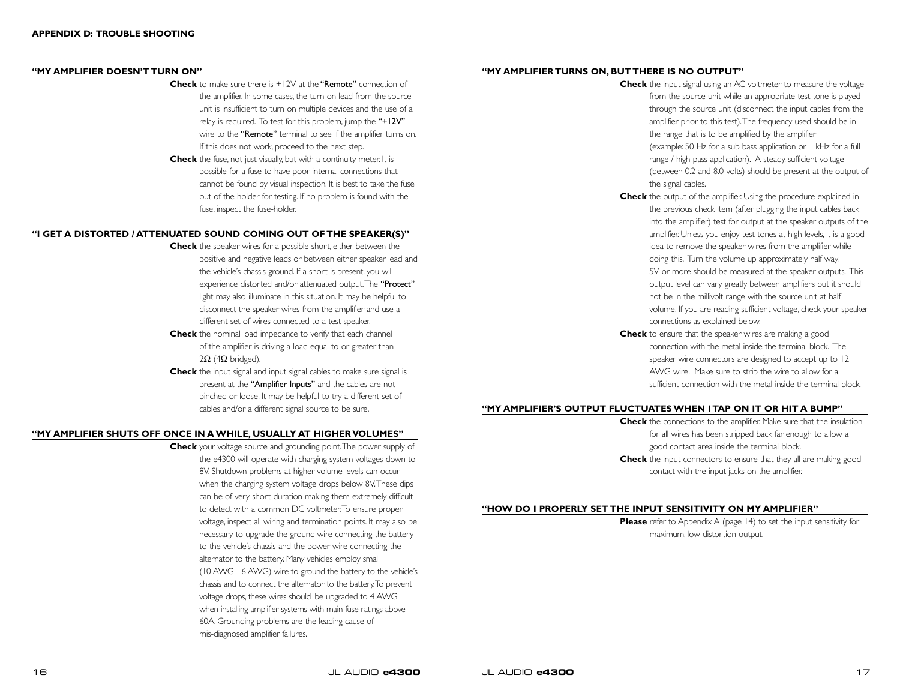#### **"MY AMPLIFIER DOESN'T TURN ON"**

- **Check** to make sure there is +12V at the "Remote" connection of the amplifier. In some cases, the turn-on lead from the source unit is insufficient to turn on multiple devices and the use of a relay is required. To test for this problem, jump the "+12V" wire to the "**Remote**" terminal to see if the amplifier turns on. If this does not work, proceed to the next step.
- **Check** the fuse, not just visually, but with a continuity meter. It is possible for a fuse to have poor internal connections that cannot be found by visual inspection. It is best to take the fuse out of the holder for testing. If no problem is found with the fuse, inspect the fuse-holder.

## **"I GET A DISTORTED / ATTENUATED SOUND COMING OUT OF THE SPEAKER(S)"**

- **Check** the speaker wires for a possible short, either between the positive and negative leads or between either speaker lead and the vehicle's chassis ground. If a short is present, you will experience distorted and/or attenuated output.The "Protect" light may also illuminate in this situation. It may be helpful to disconnect the speaker wires from the amplifier and use a different set of wires connected to a test speaker.
- **Check** the nominal load impedance to verify that each channel of the amplifier is driving a load equal to or greater than  $2\Omega$  (4 $\Omega$  bridged).
- **Check** the input signal and input signal cables to make sure signal is present at the "Amplifier Inputs" and the cables are not pinched or loose. It may be helpful to try a different set of cables and/or a different signal source to be sure.

## **"MY AMPLIFIER SHUTS OFF ONCE IN A WHILE, USUALLY AT HIGHER VOLUMES"**

**Check** your voltage source and grounding point.The power supply of the e4300 will operate with charging system voltages down to 8V. Shutdown problems at higher volume levels can occur when the charging system voltage drops below 8V.These dips can be of very short duration making them extremely difficult to detect with a common DC voltmeter.To ensure proper voltage, inspect all wiring and termination points. It may also be necessary to upgrade the ground wire connecting the battery to the vehicle's chassis and the power wire connecting the alternator to the battery. Many vehicles employ small (10 AWG - 6 AWG) wire to ground the battery to the vehicle's chassis and to connect the alternator to the battery.To prevent voltage drops, these wires should be upgraded to 4 AWG when installing amplifier systems with main fuse ratings above 60A. Grounding problems are the leading cause of mis-diagnosed amplifier failures.

## **"MY AMPLIFIER TURNS ON, BUT THERE IS NO OUTPUT"**

- **Check** the input signal using an AC voltmeter to measure the voltage from the source unit while an appropriate test tone is played through the source unit (disconnect the input cables from the amplifier prior to this test).The frequency used should be in the range that is to be amplified by the amplifier (example: 50 Hz for a sub bass application or 1 kHz for a full range / high-pass application). A steady, sufficient voltage (between 0.2 and 8.0-volts) should be present at the output of the signal cables.
- **Check** the output of the amplifier. Using the procedure explained in the previous check item (after plugging the input cables back into the amplifier) test for output at the speaker outputs of the amplifier. Unless you enjoy test tones at high levels, it is a good idea to remove the speaker wires from the amplifier while doing this. Turn the volume up approximately half way. 5V or more should be measured at the speaker outputs. This output level can vary greatly between amplifiers but it should not be in the millivolt range with the source unit at half volume. If you are reading sufficient voltage, check your speaker connections as explained below.
- **Check** to ensure that the speaker wires are making a good connection with the metal inside the terminal block. The speaker wire connectors are designed to accept up to 12 AWG wire. Make sure to strip the wire to allow for a sufficient connection with the metal inside the terminal block.

## **"MY AMPLIFIER'S OUTPUT FLUCTUATES WHEN I TAP ON IT OR HIT A BUMP"**

**Check** the connections to the amplifier. Make sure that the insulation for all wires has been stripped back far enough to allow a good contact area inside the terminal block. **Check** the input connectors to ensure that they all are making good contact with the input jacks on the amplifier.

## **"HOW DO I PROPERLY SET THE INPUT SENSITIVITY ON MY AMPLIFIER"**

**Please** refer to Appendix A (page 14) to set the input sensitivity for maximum, low-distortion output.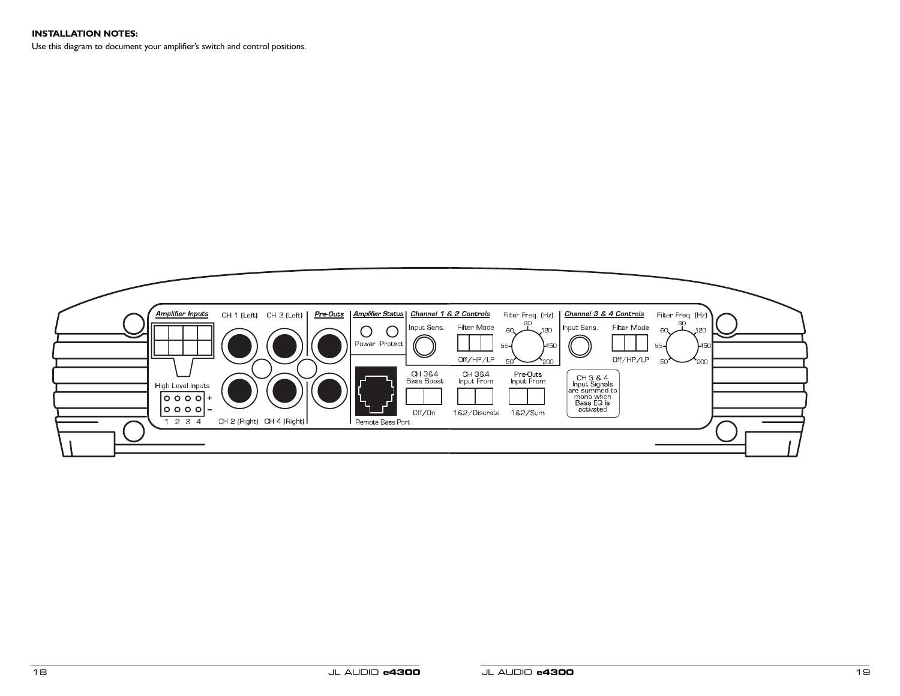## **INSTALLATION NOTES:**

Use this diagram to document your amplifier's switch and control positions.